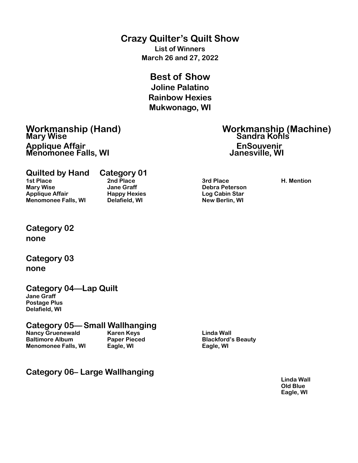#### **Crazy Quilter's Quilt Show**

**List of Winners March 26 and 27, 2022**

### **Best of Show**

**Joline Palatino Rainbow Hexies Mukwonago, WI** 

### **Mary Wise Sandra Kohls** Applique Affair **Construction Construction Construction Construction Construction Construction Construction Const<br>
Menomonee Falls, WI Menomonee Falls, WI**

# **Workmanship (Hand) Workmanship (Machine)**

**Quilted by Hand Category 01 1st Place 2nd Place 3rd Place H. Mention Mary Wise Jane Graff Debra Peterson Applique Affair Happy Hexies Log Cabin Star Menomonee Falls, WI** 



#### **Category 02 none**

#### **Category 03 none**

#### **Category 04—Lap Quilt**

**Jane Graff Postage Plus Delafield, WI**

### **Category 05— Small Wallhanging**

**Nancy Gruenewald Karen Keys** Character Mancy Gruenewald **Baltimore Album Paper Pieced Blackford's Beauty Menomonee Falls, WI Eagle, WI Eagle, WI** 

#### **Category 06– Large Wallhanging**

**Linda Wall Old Blue Eagle, WI**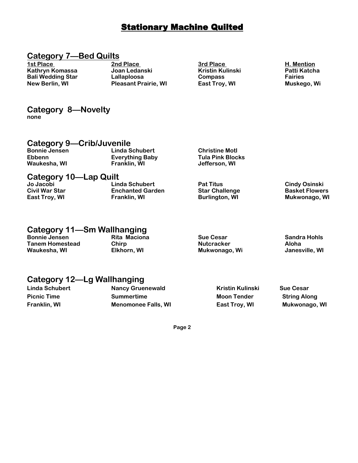#### **Stationary Machine Quilted**

#### **Category 7—Bed Quilts**

**1st Place 2nd Place 3rd Place H. Mention Kathryn Komassa Joan Ledanski Kristin Kulinski Patti Katcha Bali Wedding Star Lallaploosa Compass Fairies Pleasant Prairie, WI East Troy, WI CHANGE Muskego, Wi CHANGE MUSKEGO, WI** 

**Category 8—Novelty none**

#### **Category 9—Crib/Juvenile**

| $         -$<br><b>Bonnie Jensen</b><br><b>Ebbenn</b><br>Waukesha, WI | _ _ _ _<br>Linda Schubert<br><b>Everything Baby</b><br>Franklin, WI | <b>Christine Motl</b><br><b>Tula Pink Blocks</b><br>Jefferson. WI |  |
|-----------------------------------------------------------------------|---------------------------------------------------------------------|-------------------------------------------------------------------|--|
|                                                                       |                                                                     |                                                                   |  |

### **Category 10—Lap Quilt**

| Jo Jacobi      | Linda Schubert          | <b>Pat Titus</b>      | <b>Cindy Osinski</b>  |
|----------------|-------------------------|-----------------------|-----------------------|
| Civil War Star | <b>Enchanted Garden</b> | <b>Star Challenge</b> | <b>Basket Flowers</b> |
| East Troy, WI  | Franklin, WI            | <b>Burlington, WI</b> | Mukwonago, WI         |
|                |                         |                       |                       |

#### **Category 11—Sm Wallhanging**

| <b>Bonnie Jensen</b> | Rita Maciona | <b>Sue Cesar</b>  | Sandra Hohls   |
|----------------------|--------------|-------------------|----------------|
| Tanem Homestead      | Chirp        | <b>Nutcracker</b> | Aloha          |
| Waukesha, WI         | Elkhorn, WI  | Mukwonago, Wi     | Janesville, WI |
|                      |              |                   |                |

#### **Category 12—Lg Wallhanging**

**Linda Schubert Nancy Gruenewald Kristin Kulinski Sue Cesar Picnic Time Commentime Summertime Moon Tender String Along Franklin, WI Menomonee Falls, WI East Troy, WI Mukwonago, WI**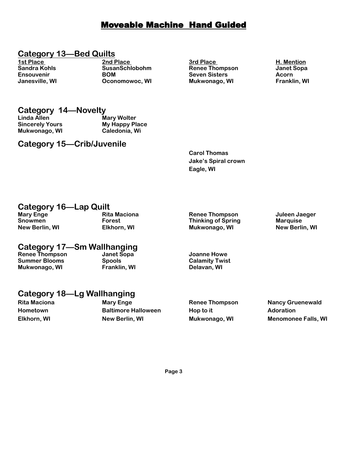#### Moveable Machine Hand Guided

#### **Category 13—Bed Quilts**

**1st Place 2nd Place 3rd Place H. Mention Sandra Kohls SusanSchlobohm Renee Thompson Janet Sopa EXAM Seven Sisters Acorn<br>
Conomowoc, WI Mukwonago, WI Stranklin, WI Janesville, WI COONOMOWOC, WI COONOMIC MUKWONAGO, WI** 

### **Category 14—Novelty**

**Mukwonago, WI Caledonia, Wi** 

**Mary Wolter Sincerely Yours My Happy Place** 

#### **Category 15—Crib/Juvenile**

**Carol Thomas Jake's Spiral crown Eagle, WI** 

#### **Category 16—Lap Quilt**

#### **Mary Enge Rita Maciona Renee Thompson Juleen Jaeger Snowmen Thinking of Spring Marquise Constraining Spring Marquise Marquise New Berlin, WI <b>Elkhorn, WI Mukwonago, WI New Berlin, WI**

### **Category 17—Sm Wallhanging**

**Renee Thompson Janet Sopa Joanne Howe Summer Blooms Spools Calamity Twist Mukwonago, WI** 

#### **Category 18—Lg Wallhanging**

Rita Maciona **Mary Enge State State Champson** Nancy Gruenewald **Hometown Baltimore Halloween Hop to it Adoration Adoration Elkhorn, WI New Berlin, WI Mukwonago, WI Menomonee Falls, WI**

**Mukwonago, WI**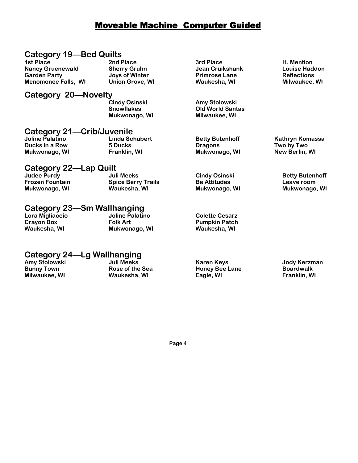#### Moveable Machine Computer Guided

#### **Category 19—Bed Quilts**

| 1st Place                  | 2nd Place              | 3rd Place               | H. Mention            |
|----------------------------|------------------------|-------------------------|-----------------------|
| <b>Nancy Gruenewald</b>    | <b>Sherry Gruhn</b>    | <b>Jean Cruikshank</b>  | <b>Louise Haddon</b>  |
| <b>Garden Party</b>        | Joys of Winter         | <b>Primrose Lane</b>    | <b>Reflections</b>    |
| <b>Menomonee Falls, WI</b> | <b>Union Grove, WI</b> | Waukesha, WI            | Milwaukee, WI         |
| Category 20-Novelty        |                        |                         |                       |
|                            | <b>Cindy Osinski</b>   | Amy Stolowski           |                       |
|                            | <b>Snowflakes</b>      | <b>Old World Santas</b> |                       |
|                            | Mukwonago, WI          | Milwaukee, WI           |                       |
| Category 21-Crib/Juvenile  |                        |                         |                       |
| Joline Palatino            | <b>Linda Schubert</b>  | <b>Betty Butenhoff</b>  | Kathryn Komassa       |
| Ducks in a Row             | <b>5 Ducks</b>         | <b>Dragons</b>          | Two by Two            |
| Mukwonago, WI              | Franklin, WI           | Mukwonago, WI           | <b>New Berlin, WI</b> |
|                            |                        |                         |                       |

#### **Category 22—Lap Quilt**

| Judee Purdy            | ---------<br>Juli Meeks   | <b>Cindy Osinski</b> | <b>Betty Butenhoff</b> |
|------------------------|---------------------------|----------------------|------------------------|
| <b>Frozen Fountain</b> | <b>Spice Berry Trails</b> | <b>Be Attitudes</b>  | Leave room             |
| Mukwonago, WI          | Waukesha, WI              | Mukwonago, WI        | Mukwonago, WI          |

| Category 23—Sm Wallhanging |                 |                       |  |  |
|----------------------------|-----------------|-----------------------|--|--|
| Lora Migliaccio            | Joline Palatino | <b>Colette Cesarz</b> |  |  |
| <b>Crayon Box</b>          | <b>Folk Art</b> | <b>Pumpkin Patch</b>  |  |  |
| Waukesha, WI               | Mukwonago, WI   | Waukesha, WI          |  |  |

#### **Category 24—Lg Wallhanging**

| Amy Stolowski     | Juli Meeks      | Karen Keys            | Jody Kerzman     |
|-------------------|-----------------|-----------------------|------------------|
| <b>Bunny Town</b> | Rose of the Sea | <b>Honey Bee Lane</b> | <b>Boardwalk</b> |
| Milwaukee, WI     | Waukesha, WI    | Eagle, WI             | Franklin, WI     |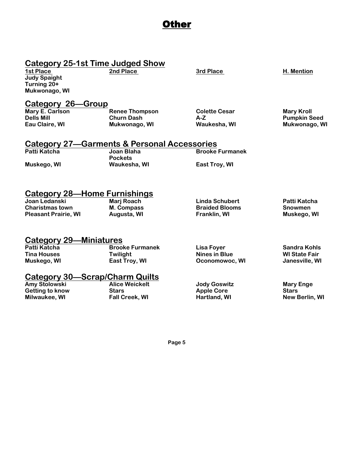#### Other

## **Category 25-1st Time Judged Show**

**2nd Place** 3rd Place **H. Mention** 

**Judy Spaight Turning 20+ Mukwonago, WI** 

# **Category 26—Group**

Mary E. Carlson **Renee Thompson Colette Cesar** Mary Kroll<br>1991 - Dells Mill Dells Mill Churn Dash A-Z **Dells Mill Churn Dash A-Z Pumpkin Seed**

**Mukwonago, WI** 

#### **Category 27—Garments & Personal Accessories**

| Patti Katcha | Joan Blaha     | <b>Brooke Furmanek</b> |
|--------------|----------------|------------------------|
|              | <b>Pockets</b> |                        |
| Muskego, WI  | Waukesha, WI   | <b>East Trov. WI</b>   |

#### **Category 28—Home Furnishings**

| Joan Ledanski               | Marj Roach  | Linda Schubert        | Patti Katcha   |
|-----------------------------|-------------|-----------------------|----------------|
| <b>Charistmas town</b>      | M. Compass  | <b>Braided Blooms</b> | <b>Snowmen</b> |
| <b>Pleasant Prairie, WI</b> | Augusta, WI | <b>Franklin, WI</b>   | Muskego, WI    |

#### **Category 29—Miniatures**

| Patti Katcha       | <b>Brooke Furmanek</b>         | Lisa Foyer     | Sandra Kohls         |
|--------------------|--------------------------------|----------------|----------------------|
| <b>Tina Houses</b> | Twilight                       | Nines in Blue  | <b>WI State Fair</b> |
| Muskego, WI        | East Troy, WI                  | Oconomowoc, WI | Janesville, WI       |
|                    | Catagory 20 Seran/Charm Quilte |                |                      |

### **Category 30—Scrap/Charm Quilts**

**Amy Stolowski Alice Weickelt Jody Goswitz Mary Enge Getting to know Stars Apple Core Stars Milwaukee, WI Fall Creek, WI Hartland, WI New Berlin, WI**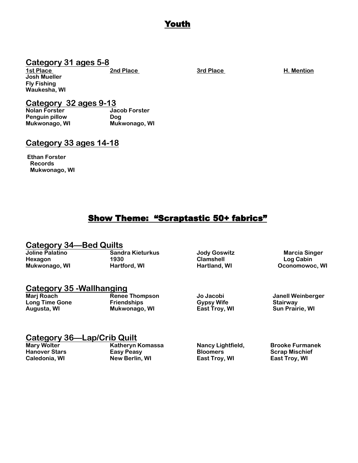#### Youth

### **Category 31 ages 5-8**

**Josh Mueller Fly Fishing Waukesha, WI** 

**1st Place 2nd Place 2nd Place Place 3rd Place 3rd Place 3rd Place 3rd Place 3rd Place 3rd Place 3rd Place 3rd Place 3rd Place 3rd Place 3rd Place 3rd Place 3rd Place 3rd Place 3rd Place 3rd Place 3rd Place 3rd Place 3rd P** 

### **Category 32 ages 9-13**

**Nolan Forster Jacob Forster Penguin pillow Dog Mukwonago, WI Mukwonago, WI** 

#### **Category 33 ages 14-18**

**Ethan Forster Records Mukwonago, WI** 

### Show Theme: "Scraptastic 50+ fabrics"

### **Category 34—Bed Quilts**

**Joline Palatino Sandra Kieturkus Jody Goswitz Marcia Singer Hexagon 1930 Clamshell Log Cabin** 

Mukwonago, WI **Hartford, WI <b>Hartland**, WI **Hartland, WI Conomowoc**, WI

### **Category 35 -Wallhanging**

**Long Time Gone 6 Contract Friendships Construct Gypsy Wife Construct Stairway Construct Construct Construct Construct Construct Construct Construction Construction Construction Construction Construction Construction Const Augusta, WI Mukwonago, WI East Troy, WI Sun Prairie, WI** 

**Marj Roach Renee Thompson Jo Jacobi Janell Weinberger**

### **Category 36—Lap/Crib Quilt**

**Katheryn Komassa Mancy Lightfield, Brooke Furmanek Hanover Stars Community Club Easy Peasy Community Bloomers Community Scrap Mischief Caledonia, WI New Berlin, WI East Troy, WI East Troy, WI**